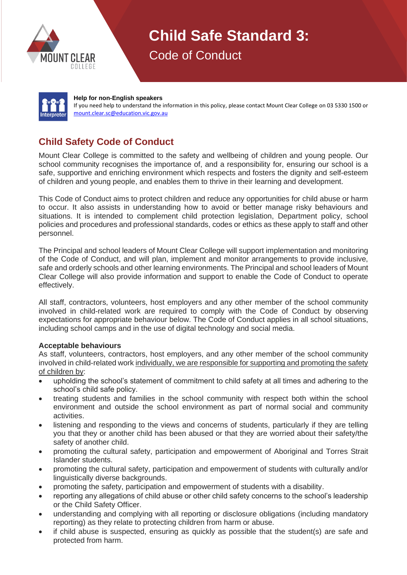

**Child Safe Standard 3:**

Code of Conduct



#### **Help for non-English speakers**

If you need help to understand the information in this policy, please contact Mount Clear College on 03 5330 1500 or [mount.clear.sc@education.vic.gov.au](mailto:mount.clear.sc@education.vic.gov.au)

## **Child Safety Code of Conduct**

Mount Clear College is committed to the safety and wellbeing of children and young people. Our school community recognises the importance of, and a responsibility for, ensuring our school is a safe, supportive and enriching environment which respects and fosters the dignity and self-esteem of children and young people, and enables them to thrive in their learning and development.

This Code of Conduct aims to protect children and reduce any opportunities for child abuse or harm to occur. It also assists in understanding how to avoid or better manage risky behaviours and situations. It is intended to complement child protection legislation, Department policy, school policies and procedures and professional standards, codes or ethics as these apply to staff and other personnel.

The Principal and school leaders of Mount Clear College will support implementation and monitoring of the Code of Conduct, and will plan, implement and monitor arrangements to provide inclusive, safe and orderly schools and other learning environments. The Principal and school leaders of Mount Clear College will also provide information and support to enable the Code of Conduct to operate effectively.

All staff, contractors, volunteers, host employers and any other member of the school community involved in child-related work are required to comply with the Code of Conduct by observing expectations for appropriate behaviour below. The Code of Conduct applies in all school situations, including school camps and in the use of digital technology and social media.

### **Acceptable behaviours**

As staff, volunteers, contractors, host employers, and any other member of the school community involved in child-related work individually, we are responsible for supporting and promoting the safety of children by:

- upholding the school's statement of commitment to child safety at all times and adhering to the school's child safe policy.
- treating students and families in the school community with respect both within the school environment and outside the school environment as part of normal social and community activities.
- listening and responding to the views and concerns of students, particularly if they are telling you that they or another child has been abused or that they are worried about their safety/the safety of another child.
- promoting the cultural safety, participation and empowerment of Aboriginal and Torres Strait Islander students.
- promoting the cultural safety, participation and empowerment of students with culturally and/or linguistically diverse backgrounds.
- promoting the safety, participation and empowerment of students with a disability.
- reporting any allegations of child abuse or other child safety concerns to the school's leadership or the Child Safety Officer.
- understanding and complying with all reporting or disclosure obligations (including mandatory reporting) as they relate to protecting children from harm or abuse.
- if child abuse is suspected, ensuring as quickly as possible that the student(s) are safe and protected from harm.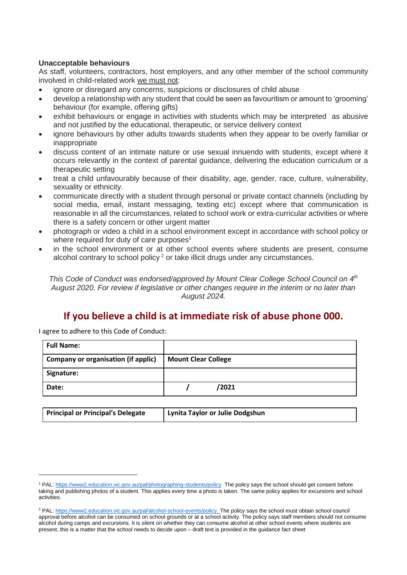#### **Unacceptable behaviours**

As staff, volunteers, contractors, host employers, and any other member of the school community involved in child-related work we must not:

- ignore or disregard any concerns, suspicions or disclosures of child abuse
- develop a relationship with any student that could be seen as favouritism or amount to 'grooming' behaviour (for example, offering gifts)
- exhibit behaviours or engage in activities with students which may be interpreted as abusive and not justified by the educational, therapeutic, or service delivery context
- ignore behaviours by other adults towards students when they appear to be overly familiar or inappropriate
- discuss content of an intimate nature or use sexual innuendo with students, except where it occurs relevantly in the context of parental guidance, delivering the education curriculum or a therapeutic setting
- treat a child unfavourably because of their disability, age, gender, race, culture, vulnerability, sexuality or ethnicity.
- communicate directly with a student through personal or private contact channels (including by social media, email, instant messaging, texting etc) except where that communication is reasonable in all the circumstances, related to school work or extra-curricular activities or where there is a safety concern or other urgent matter
- photograph or video a child in a school environment except in accordance with school policy or where required for duty of care purposes<sup>1</sup>
- in the school environment or at other school events where students are present, consume alcohol contrary to school policy<sup>2</sup> or take illicit drugs under any circumstances.

*This Code of Conduct was endorsed/approved by Mount Clear College School Council on 4th August 2020. For review if legislative or other changes require in the interim or no later than August 2024.*

# **If you believe a child is at immediate risk of abuse phone 000.**

I agree to adhere to this Code of Conduct:

| <b>Full Name:</b>                          |                            |
|--------------------------------------------|----------------------------|
| <b>Company or organisation (if applic)</b> | <b>Mount Clear College</b> |
| Signature:                                 |                            |
| Date:                                      | /2021                      |

| <b>Principal or Principal's Delegate</b> | Lynita Taylor or Julie Dodgshun |
|------------------------------------------|---------------------------------|
|                                          |                                 |

<sup>1</sup> PAL[: https://www2.education.vic.gov.au/pal/photographing-students/policy](https://www2.education.vic.gov.au/pal/photographing-students/policy) The policy says the school should get consent before taking and publishing photos of a student. This applies every time a photo is taken. The same policy applies for excursions and school activities.

<sup>&</sup>lt;sup>2</sup> PAL[: https://www2.education.vic.gov.au/pal/alcohol-school-events/policy.](https://www2.education.vic.gov.au/pal/alcohol-school-events/policy) The policy says the school must obtain school council approval before alcohol can be consumed on school grounds or at a school activity. The policy says staff members should not consume alcohol during camps and excursions. It is silent on whether they can consume alcohol at other school events where students are present, this is a matter that the school needs to decide upon – draft text is provided in the guidance fact sheet